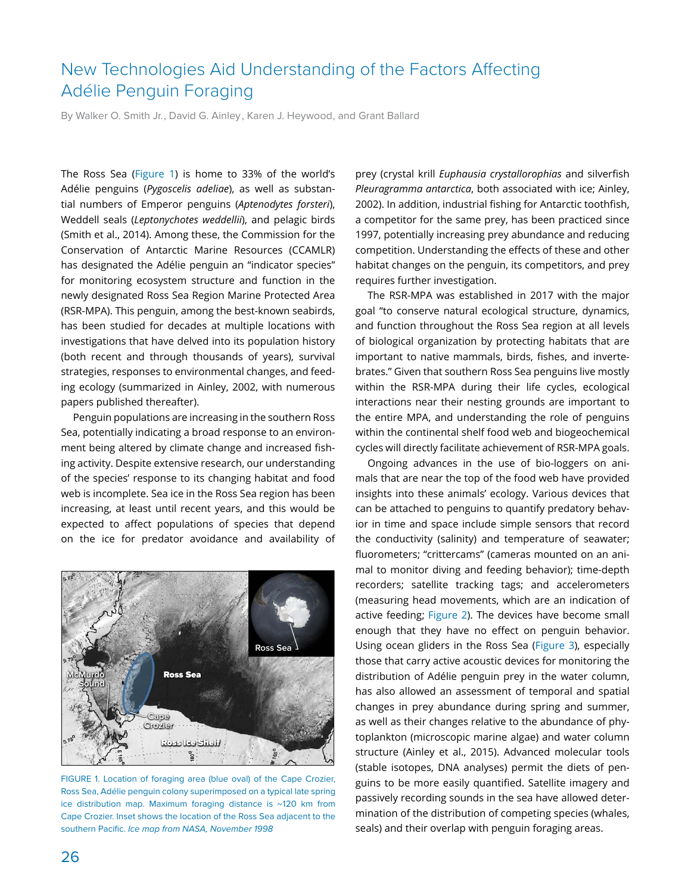# New Technologies Aid Understanding of the Factors Affecting Adélie Penguin Foraging

By Walker O. Smith Jr., David G. Ainley, Karen J. Heywood, and Grant Ballard

The Ross Sea (Figure 1) is home to 33% of the world's Adélie penguins (*Pygoscelis adeliae*), as well as substantial numbers of Emperor penguins (*Aptenodytes forsteri*), Weddell seals (*Leptonychotes weddellii*), and pelagic birds (Smith et al., 2014). Among these, the Commission for the Conservation of Antarctic Marine Resources (CCAMLR) has designated the Adélie penguin an "indicator species" for monitoring ecosystem structure and function in the newly designated Ross Sea Region Marine Protected Area (RSR-MPA). This penguin, among the best-known seabirds, has been studied for decades at multiple locations with investigations that have delved into its population history (both recent and through thousands of years), survival strategies, responses to environmental changes, and feeding ecology (summarized in Ainley, 2002, with numerous papers published thereafter).

Penguin populations are increasing in the southern Ross Sea, potentially indicating a broad response to an environment being altered by climate change and increased fishing activity. Despite extensive research, our understanding of the species' response to its changing habitat and food web is incomplete. Sea ice in the Ross Sea region has been increasing, at least until recent years, and this would be expected to affect populations of species that depend on the ice for predator avoidance and availability of



FIGURE 1. Location of foraging area (blue oval) of the Cape Crozier, Ross Sea, Adélie penguin colony superimposed on a typical late spring ice distribution map. Maximum foraging distance is ~120 km from Cape Crozier. Inset shows the location of the Ross Sea adjacent to the southern Pacific. *Ice map from NASA, November 1998*

prey (crystal krill *Euphausia crystallorophias* and silverfish *Pleuragramma antarctica*, both associated with ice; Ainley, 2002). In addition, industrial fishing for Antarctic toothfish, a competitor for the same prey, has been practiced since 1997, potentially increasing prey abundance and reducing competition. Understanding the effects of these and other habitat changes on the penguin, its competitors, and prey requires further investigation.

The RSR-MPA was established in 2017 with the major goal "to conserve natural ecological structure, dynamics, and function throughout the Ross Sea region at all levels of biological organization by protecting habitats that are important to native mammals, birds, fishes, and invertebrates." Given that southern Ross Sea penguins live mostly within the RSR-MPA during their life cycles, ecological interactions near their nesting grounds are important to the entire MPA, and understanding the role of penguins within the continental shelf food web and biogeochemical cycles will directly facilitate achievement of RSR-MPA goals.

Ongoing advances in the use of bio-loggers on animals that are near the top of the food web have provided insights into these animals' ecology. Various devices that can be attached to penguins to quantify predatory behavior in time and space include simple sensors that record the conductivity (salinity) and temperature of seawater; fluorometers; "crittercams" (cameras mounted on an animal to monitor diving and feeding behavior); time-depth recorders; satellite tracking tags; and accelerometers (measuring head movements, which are an indication of active feeding; Figure 2). The devices have become small enough that they have no effect on penguin behavior. Using ocean gliders in the Ross Sea (Figure 3), especially those that carry active acoustic devices for monitoring the distribution of Adélie penguin prey in the water column, has also allowed an assessment of temporal and spatial changes in prey abundance during spring and summer, as well as their changes relative to the abundance of phytoplankton (microscopic marine algae) and water column structure (Ainley et al., 2015). Advanced molecular tools (stable isotopes, DNA analyses) permit the diets of penguins to be more easily quantified. Satellite imagery and passively recording sounds in the sea have allowed determination of the distribution of competing species (whales, seals) and their overlap with penguin foraging areas.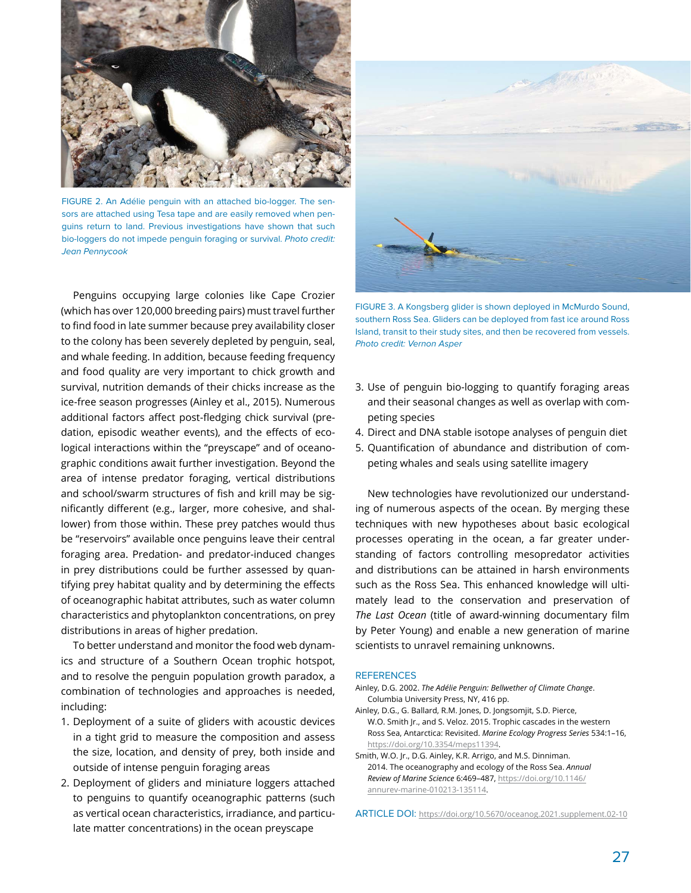

FIGURE 2. An Adélie penguin with an attached bio-logger. The sensors are attached using Tesa tape and are easily removed when penguins return to land. Previous investigations have shown that such bio-loggers do not impede penguin foraging or survival. *Photo credit: Jean Pennycook*

Penguins occupying large colonies like Cape Crozier (which has over 120,000 breeding pairs) must travel further to find food in late summer because prey availability closer to the colony has been severely depleted by penguin, seal, and whale feeding. In addition, because feeding frequency and food quality are very important to chick growth and survival, nutrition demands of their chicks increase as the ice-free season progresses (Ainley et al., 2015). Numerous additional factors affect post-fledging chick survival (predation, episodic weather events), and the effects of ecological interactions within the "preyscape" and of oceanographic conditions await further investigation. Beyond the area of intense predator foraging, vertical distributions and school/swarm structures of fish and krill may be significantly different (e.g., larger, more cohesive, and shallower) from those within. These prey patches would thus be "reservoirs" available once penguins leave their central foraging area. Predation- and predator-induced changes in prey distributions could be further assessed by quantifying prey habitat quality and by determining the effects of oceanographic habitat attributes, such as water column characteristics and phytoplankton concentrations, on prey distributions in areas of higher predation.

To better understand and monitor the food web dynamics and structure of a Southern Ocean trophic hotspot, and to resolve the penguin population growth paradox, a combination of technologies and approaches is needed, including:

- 1. Deployment of a suite of gliders with acoustic devices in a tight grid to measure the composition and assess the size, location, and density of prey, both inside and outside of intense penguin foraging areas
- 2. Deployment of gliders and miniature loggers attached to penguins to quantify oceanographic patterns (such as vertical ocean characteristics, irradiance, and particulate matter concentrations) in the ocean preyscape



FIGURE 3. A Kongsberg glider is shown deployed in McMurdo Sound, southern Ross Sea. Gliders can be deployed from fast ice around Ross Island, transit to their study sites, and then be recovered from vessels. *Photo credit: Vernon Asper*

- 3. Use of penguin bio-logging to quantify foraging areas and their seasonal changes as well as overlap with competing species
- 4. Direct and DNA stable isotope analyses of penguin diet
- 5. Quantification of abundance and distribution of competing whales and seals using satellite imagery

New technologies have revolutionized our understanding of numerous aspects of the ocean. By merging these techniques with new hypotheses about basic ecological processes operating in the ocean, a far greater understanding of factors controlling mesopredator activities and distributions can be attained in harsh environments such as the Ross Sea. This enhanced knowledge will ultimately lead to the conservation and preservation of *The Last Ocean* (title of award-winning documentary film by Peter Young) and enable a new generation of marine scientists to unravel remaining unknowns.

### **REFERENCES**

- Ainley, D.G. 2002. *The Adélie Penguin: Bellwether of Climate Change*. Columbia University Press, NY, 416 pp.
- Ainley, D.G., G. Ballard, R.M. Jones, D. Jongsomjit, S.D. Pierce, W.O. Smith Jr., and S. Veloz. 2015. Trophic cascades in the western Ross Sea, Antarctica: Revisited. *Marine Ecology Progress Series* 534:1–16, [https://doi.org/10.3354/meps11394.](https://doi.org/10.3354/meps11394)
- Smith, W.O. Jr., D.G. Ainley, K.R. Arrigo, and M.S. Dinniman. 2014. The oceanography and ecology of the Ross Sea. *Annual Review of Marine Science* 6:469–487, [https://doi.org/10.1146/](https://doi.org/10.1146/annurev-marine-010213-135114) [annurev-marine-010213-135114.](https://doi.org/10.1146/annurev-marine-010213-135114)

ARTICLE DOI: <https://doi.org/10.5670/oceanog.2021.supplement.02-10>